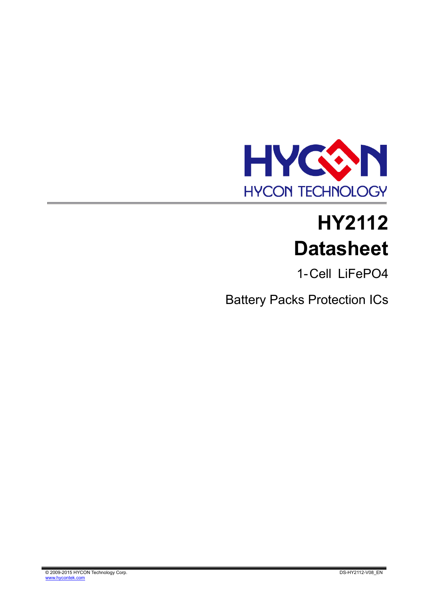

# **HY2112 Datasheet**

1- Cell LiFePO4

Battery Packs Protection ICs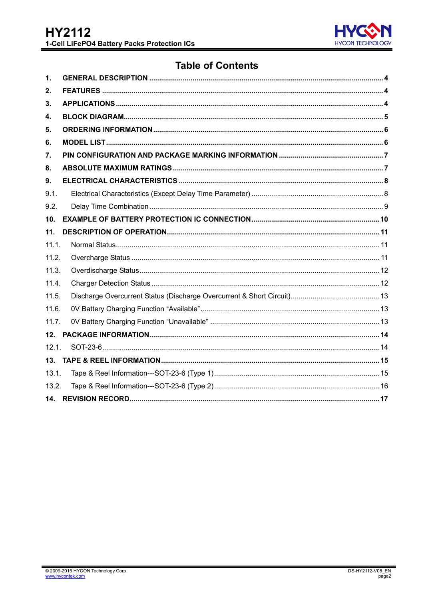

# **Table of Contents**

| $\mathbf{1}$ .  |  |
|-----------------|--|
| 2.              |  |
| З.              |  |
| 4.              |  |
| 5.              |  |
| 6.              |  |
| 7.              |  |
| 8.              |  |
| 9.              |  |
| 9.1.            |  |
| 9.2.            |  |
| 10 <sub>1</sub> |  |
| 11.             |  |
| 11.1.           |  |
| 11.2.           |  |
| 11.3.           |  |
| 11.4.           |  |
| 11.5.           |  |
| 11.6.           |  |
| 11.7.           |  |
| 12.             |  |
| 12.1.           |  |
|                 |  |
| 13.1.           |  |
| 13.2.           |  |
|                 |  |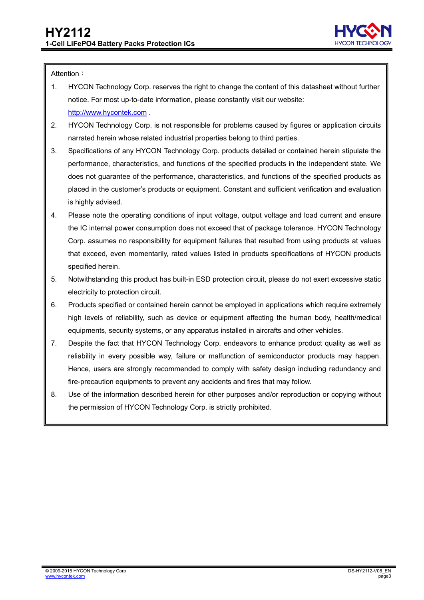

#### Attention:

- 1. HYCON Technology Corp. reserves the right to change the content of this datasheet without further notice. For most up-to-date information, please constantly visit our website: [http://www.hycontek.com](http://www.hycontek.com/) .
- 2. HYCON Technology Corp. is not responsible for problems caused by figures or application circuits narrated herein whose related industrial properties belong to third parties.
- 3. Specifications of any HYCON Technology Corp. products detailed or contained herein stipulate the performance, characteristics, and functions of the specified products in the independent state. We does not guarantee of the performance, characteristics, and functions of the specified products as placed in the customer's products or equipment. Constant and sufficient verification and evaluation is highly advised.
- 4. Please note the operating conditions of input voltage, output voltage and load current and ensure the IC internal power consumption does not exceed that of package tolerance. HYCON Technology Corp. assumes no responsibility for equipment failures that resulted from using products at values that exceed, even momentarily, rated values listed in products specifications of HYCON products specified herein.
- 5. Notwithstanding this product has built-in ESD protection circuit, please do not exert excessive static electricity to protection circuit.
- 6. Products specified or contained herein cannot be employed in applications which require extremely .high levels of reliability, such as device or equipment affecting the human body, health/medical equipments, security systems, or any apparatus installed in aircrafts and other vehicles.
- 7. Despite the fact that HYCON Technology Corp. endeavors to enhance product quality as well as reliability in every possible way, failure or malfunction of semiconductor products may happen. Hence, users are strongly recommended to comply with safety design including redundancy and fire-precaution equipments to prevent any accidents and fires that may follow.
- 8. Use of the information described herein for other purposes and/or reproduction or copying without the permission of HYCON Technology Corp. is strictly prohibited.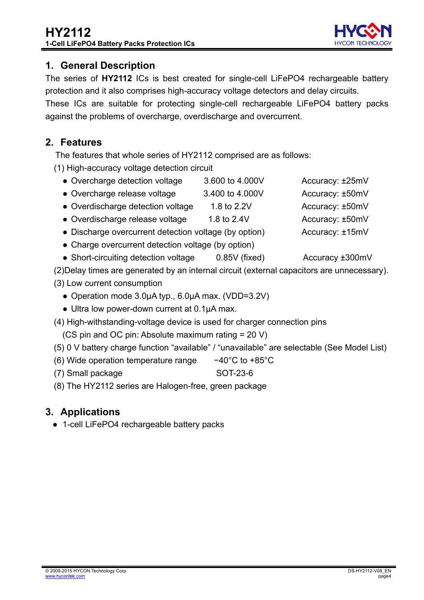page4

# <span id="page-3-0"></span>**1. General Description**

The series of **HY2112** ICs is best created for single-cell LiFePO4 rechargeable battery protection and it also comprises high-accuracy voltage detectors and delay circuits.

These ICs are suitable for protecting single-cell rechargeable LiFePO4 battery packs against the problems of overcharge, overdischarge and overcurrent.

# <span id="page-3-1"></span>**2. Features**

The features that whole series of HY2112 comprised are as follows:

(1) High-accuracy voltage detection circuit

- Overcharge detection voltage 3.600 to 4.000V Accuracy: ±25mV
- Overcharge release voltage 3.400 to 4.000V Accuracy: ±50mV
- Overdischarge detection voltage 1.8 to 2.2V Accuracy: ±50mV
- Overdischarge release voltage 1.8 to 2.4V Accuracy: ±50mV
- Discharge overcurrent detection voltage (by option) Accuracy: ±15mV
- Charge overcurrent detection voltage (by option)
- Short-circuiting detection voltage 0.85V (fixed) Accuracy ±300mV
- (2)Delay times are generated by an internal circuit (external capacitors are unnecessary).
- (3) Low current consumption
	- Operation mode 3.0µA typ., 6.0µA max. (VDD=3.2V)
	- Ultra low power-down current at 0.1μA max.
- (4) High-withstanding-voltage device is used for charger connection pins
	- (CS pin and OC pin: Absolute maximum rating = 20 V)
- (5) 0 V battery charge function "available" / "unavailable" are selectable (See Model List)
- (6) Wide operation temperature range −40°C to +85°C
- (7) Small package SOT-23-6
- (8) The HY2112 series are Halogen-free, green package

# <span id="page-3-2"></span>**3. Applications**

● 1-cell LiFePO4 rechargeable battery packs



- 
- 
- 
- 
-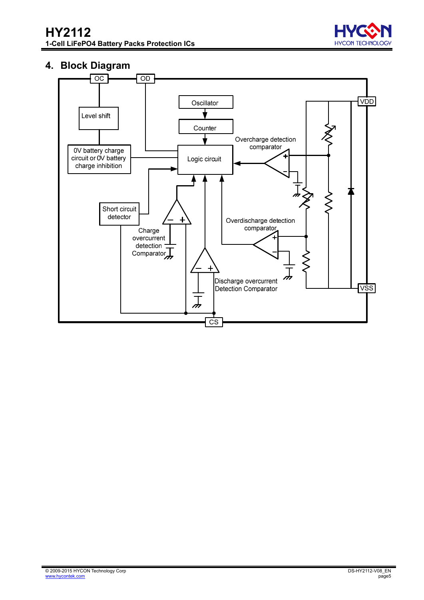

#### <span id="page-4-0"></span>**4. Block Diagram**

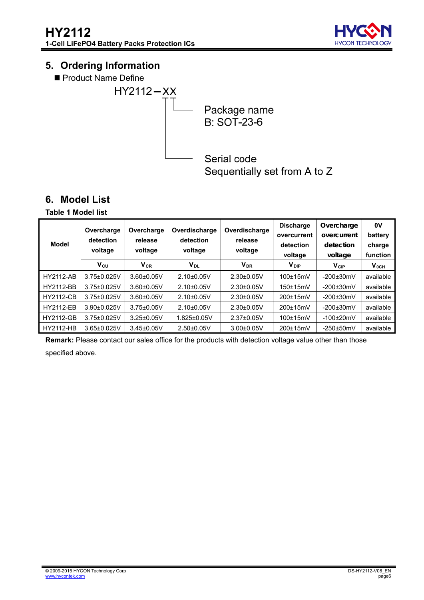

# <span id="page-5-0"></span>**5. Ordering Information**

Product Name Define



Sequentially set from A to Z

# <span id="page-5-1"></span>**6. Model List**

#### **Table 1 Model list**

| Model            | Overcharge<br>detection<br>voltage | Overcharge<br>release<br>voltage | Overdischarge<br>detection<br>voltage | Overdischarge<br>release<br>voltage | <b>Discharge</b><br>overcurrent<br>detection<br>voltage | Overcharge<br>overcurrent<br>detection<br>voltage | 0V<br>battery<br>charge<br>function |
|------------------|------------------------------------|----------------------------------|---------------------------------------|-------------------------------------|---------------------------------------------------------|---------------------------------------------------|-------------------------------------|
|                  | $V_{\text{CU}}$                    | $V_{CR}$                         | Voi                                   | <b>V<sub>DR</sub></b>               | <b>V</b> <sub>DIP</sub>                                 | <b>V<sub>CIP</sub></b>                            | $V_{0CH}$                           |
| <b>HY2112-AB</b> | $3.75 \pm 0.025$ V                 | $3.60 \pm 0.05$ V                | $2.10+0.05V$                          | $2.30\pm0.05V$                      | $100\pm15$ mV                                           | $-200\pm30$ mV                                    | available                           |
| <b>HY2112-BB</b> | $3.75 \pm 0.025$ V                 | $3.60 \pm 0.05$ V                | $2.10+0.05V$                          | $2.30\pm0.05V$                      | $150\pm15$ mV                                           | $-200\pm30$ mV                                    | available                           |
| <b>HY2112-CB</b> | $3.75 \pm 0.025$ V                 | $3.60 \pm 0.05$ V                | $2.10+0.05V$                          | $2.30\pm0.05V$                      | 200±15mV                                                | $-200\pm30$ mV                                    | available                           |
| <b>HY2112-EB</b> | $3.90\pm0.025$ V                   | $3.75 \pm 0.05$ V                | $2.10\pm0.05V$                        | $2.30\pm0.05V$                      | 200±15mV                                                | $-200\pm30$ mV                                    | available                           |
| <b>HY2112-GB</b> | $3.75 \pm 0.025$ V                 | $3.25 \pm 0.05$ V                | $1.825 \pm 0.05$ V                    | $2.37 \pm 0.05$ V                   | $100\pm15$ m $V$                                        | $-100\pm20$ mV                                    | available                           |
| <b>HY2112-HB</b> | $3.65 \pm 0.025$ V                 | $3.45 \pm 0.05$ V                | $2.50\pm0.05V$                        | $3.00 \pm 0.05$ V                   | 200±15mV                                                | $-250\pm50$ mV                                    | available                           |

**Remark:** Please contact our sales office for the products with detection voltage value other than those specified above.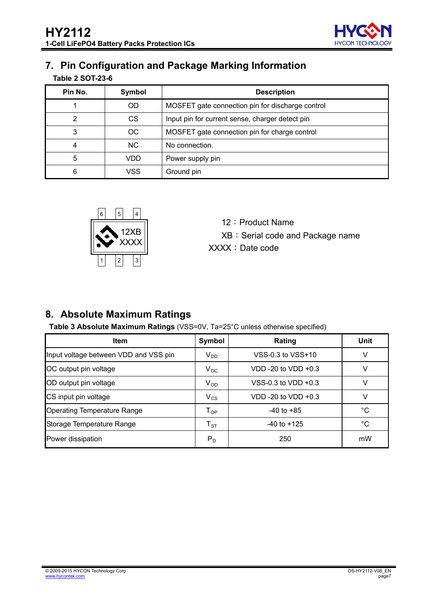

# <span id="page-6-0"></span>**7. Pin Configuration and Package Marking Information**

| Pin No. | Symbol         | <b>Description</b>                               |  |  |  |  |  |
|---------|----------------|--------------------------------------------------|--|--|--|--|--|
|         | OD.            | MOSFET gate connection pin for discharge control |  |  |  |  |  |
| 2       | CS             | Input pin for current sense, charger detect pin  |  |  |  |  |  |
| 3       | OC             | MOSFET gate connection pin for charge control    |  |  |  |  |  |
| 4       | N <sub>C</sub> | No connection.                                   |  |  |  |  |  |
| 5       | VDD            | Power supply pin                                 |  |  |  |  |  |
| 6       | VSS            | Ground pin                                       |  |  |  |  |  |



- 12: Product Name
- XB: Serial code and Package name
- XXXX:Date code

# <span id="page-6-1"></span>**8. Absolute Maximum Ratings**

**Table 3 Absolute Maximum Ratings** (VSS=0V, Ta=25°C unless otherwise specified)

| Item                                  | Symbol                       | Rating                | Unit |
|---------------------------------------|------------------------------|-----------------------|------|
| Input voltage between VDD and VSS pin | $V_{DD}$                     | VSS-0.3 to VSS+10     | V    |
| OC output pin voltage                 | $V_{OC}$                     | VDD -20 to VDD +0.3   | V    |
| OD output pin voltage                 | $V_{OD}$                     | VSS-0.3 to VDD $+0.3$ | v    |
| CS input pin voltage                  | $V_{CS}$                     | VDD -20 to VDD +0.3   | v    |
| <b>Operating Temperature Range</b>    | ${\mathsf T}_{\mathsf {OP}}$ | $-40$ to $+85$        | °C   |
| Storage Temperature Range             | $\mathsf{T}_{\texttt{ST}}$   | $-40$ to $+125$       | °C   |
| Power dissipation                     | $P_D$                        | 250                   | mW   |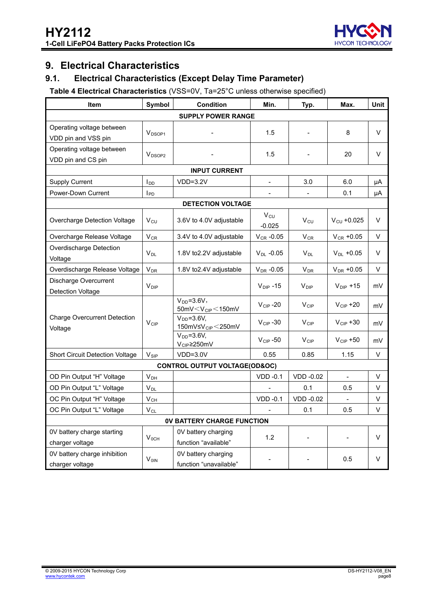

# <span id="page-7-0"></span>**9. Electrical Characteristics**

#### <span id="page-7-1"></span>**9.1. Electrical Characteristics (Except Delay Time Parameter)**

#### **Table 4 Electrical Characteristics** (VSS=0V, Ta=25°C unless otherwise specified)

| Symbol<br><b>Item</b>                             |                         | <b>Condition</b>                                          | Min.                        | Typ.                   | Max.                    | <b>Unit</b> |  |  |  |  |  |
|---------------------------------------------------|-------------------------|-----------------------------------------------------------|-----------------------------|------------------------|-------------------------|-------------|--|--|--|--|--|
| <b>SUPPLY POWER RANGE</b>                         |                         |                                                           |                             |                        |                         |             |  |  |  |  |  |
| Operating voltage between<br>VDD pin and VSS pin  | V <sub>DSOP1</sub>      |                                                           | 1.5                         |                        | 8                       | $\vee$      |  |  |  |  |  |
| Operating voltage between<br>VDD pin and CS pin   | V <sub>DSOP2</sub>      |                                                           |                             |                        | 20                      | $\vee$      |  |  |  |  |  |
|                                                   |                         |                                                           |                             |                        |                         |             |  |  |  |  |  |
| <b>Supply Current</b>                             | l <sub>DD</sub>         | $VDD=3.2V$                                                |                             | 3.0                    | 6.0                     | μA          |  |  |  |  |  |
| Power-Down Current                                | $I_{PD}$                |                                                           |                             |                        | 0.1                     | μA          |  |  |  |  |  |
|                                                   |                         | <b>DETECTION VOLTAGE</b>                                  |                             |                        |                         |             |  |  |  |  |  |
| Overcharge Detection Voltage                      | $V_{\text{CU}}$         | 3.6V to 4.0V adjustable                                   | $V_{\text{CU}}$<br>$-0.025$ | $V_{\text{CU}}$        | $V_{\text{CU}} + 0.025$ | V           |  |  |  |  |  |
| Overcharge Release Voltage                        | $V_{CR}$                | 3.4V to 4.0V adjustable                                   | $V_{CR}$ -0.05              | $V_{CR}$               | $V_{CR}$ +0.05          | V           |  |  |  |  |  |
| Overdischarge Detection<br>Voltage                | $V_{DL}$                | 1.8V to2.2V adjustable                                    | $V_{DL}$ -0.05              | $V_{DL}$               | $V_{DL}$ +0.05          | V           |  |  |  |  |  |
| Overdischarge Release Voltage                     | <b>V<sub>DR</sub></b>   | 1.8V to2.4V adjustable                                    | $V_{DR}$ -0.05              | <b>V<sub>DR</sub></b>  | $V_{DR}$ +0.05          | V           |  |  |  |  |  |
| Discharge Overcurrent<br><b>Detection Voltage</b> | $V_{\text{DIP}}$        |                                                           | $V_{\text{DIP}} - 15$       | $V_{\text{DIP}}$       | $V_{\text{DIP}} + 15$   | mV          |  |  |  |  |  |
|                                                   |                         | $V_{DD} = 3.6V$ ,<br>50mV $<$ V <sub>CIP</sub> $<$ 150mV  | $V_{CIP} - 20$              | $V_{\text{CIP}}$       | $V_{\text{CIP}} + 20$   | mV          |  |  |  |  |  |
| <b>Charge Overcurrent Detection</b><br>Voltage    | $V_{CIP}$               | $VDD=3.6V,$<br>150mV $\leq$ V <sub>CIP</sub> $\leq$ 250mV | $V_{CIP} - 30$              | $V_{CIP}$              | $V_{\text{CIP}} + 30$   | mV          |  |  |  |  |  |
|                                                   |                         | $V_{DD} = 3.6V$ ,<br>V <sub>CIP</sub> ≥250mV              | $V_{CIP} - 50$              | <b>V<sub>CIP</sub></b> | $V_{CIP} + 50$          | mV          |  |  |  |  |  |
| <b>Short Circuit Detection Voltage</b>            | $V_{\text{SIP}}$        | $VDD=3.0V$                                                | 0.55                        | 0.85                   | 1.15                    | V           |  |  |  |  |  |
|                                                   |                         | <b>CONTROL OUTPUT VOLTAGE(OD&amp;OC)</b>                  |                             |                        |                         |             |  |  |  |  |  |
| OD Pin Output "H" Voltage                         | $V_{DH}$                |                                                           | $VDD -0.1$                  | VDD -0.02              | $\blacksquare$          | V           |  |  |  |  |  |
| OD Pin Output "L" Voltage                         | $V_{DL}$                |                                                           |                             | 0.1                    | 0.5                     | V           |  |  |  |  |  |
| OC Pin Output "H" Voltage                         | $V_{CH}$                |                                                           | $VDD -0.1$                  | <b>VDD -0.02</b>       |                         | V           |  |  |  |  |  |
| OC Pin Output "L" Voltage                         | $V_{CL}$                |                                                           |                             | 0.1                    | 0.5                     | V           |  |  |  |  |  |
|                                                   |                         | <b>OV BATTERY CHARGE FUNCTION</b>                         |                             |                        |                         |             |  |  |  |  |  |
| 0V battery charge starting<br>charger voltage     | $V_{OCH}$               | 0V battery charging<br>function "available"               | 1.2                         |                        |                         | V           |  |  |  |  |  |
| 0V battery charge inhibition<br>charger voltage   | <b>V</b> <sub>OIN</sub> | 0V battery charging<br>function "unavailable"             |                             |                        | 0.5                     | V           |  |  |  |  |  |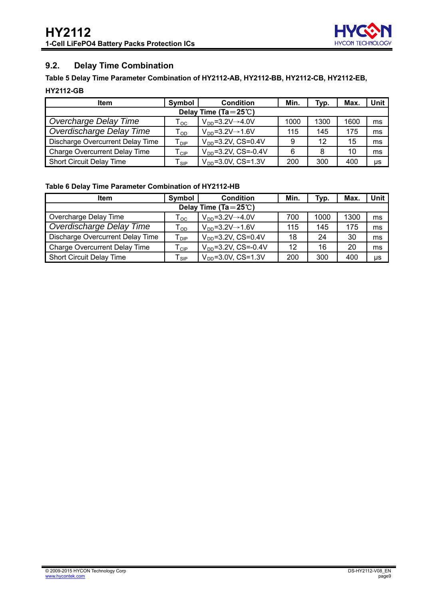

#### <span id="page-8-0"></span>**9.2. Delay Time Combination**

#### **Table 5 Delay Time Parameter Combination of HY2112-AB, HY2112-BB, HY2112-CB, HY2112-EB,**

#### **HY2112-GB**

| <b>Item</b>                          | Symbol                               | <b>Condition</b>                   | Min. | Typ. | Max. | Unit |  |  |  |  |  |
|--------------------------------------|--------------------------------------|------------------------------------|------|------|------|------|--|--|--|--|--|
| Delay Time (Ta= $25^{\circ}$ C)      |                                      |                                    |      |      |      |      |  |  |  |  |  |
| Overcharge Delay Time                | $\mathsf{T}_{\mathsf{OC}}$           | $VDD=3.2V\rightarrow 4.0V$         | 1000 | 1300 | 1600 | ms   |  |  |  |  |  |
| Overdischarge Delay Time             | $\mathsf{T}_{\mathsf{OD}}$           | $V_{DD} = 3.2 V \rightarrow 1.6 V$ | 115  | 145  | 175  | ms   |  |  |  |  |  |
| Discharge Overcurrent Delay Time     | ${\mathsf T}_{\mathsf D\mathsf P}$   | $V_{DD} = 3.2V$ , CS=0.4V          | 9    | 12   | 15   | ms   |  |  |  |  |  |
| <b>Charge Overcurrent Delay Time</b> | $\mathsf{T}_{\textsf{CIP}}$          | $V_{DD} = 3.2V$ , CS=-0.4V         | 6    | 8    | 10   | ms   |  |  |  |  |  |
| <b>Short Circuit Delay Time</b>      | $\mathsf{\tau}_{\textsf{\tiny SIP}}$ | $V_{DD} = 3.0V$ , CS=1.3V          | 200  | 300  | 400  | us   |  |  |  |  |  |

#### **Table 6 Delay Time Parameter Combination of HY2112-HB**

| <b>Item</b>                          | Symbol                             | <b>Condition</b>                 | Min. | Typ. | Max. | Unit |  |  |  |  |  |
|--------------------------------------|------------------------------------|----------------------------------|------|------|------|------|--|--|--|--|--|
| Delay Time (Ta= $25^{\circ}$ C)      |                                    |                                  |      |      |      |      |  |  |  |  |  |
| Overcharge Delay Time                | l oc                               | $VDD=3.2V\rightarrow 4.0V$       | 700  | 1000 | 1300 | ms   |  |  |  |  |  |
| Overdischarge Delay Time             | $\mathsf{\tau}_{\mathsf{OD}}$      | $V_{DD} = 3.2V \rightarrow 1.6V$ | 115  | 145  | 175  | ms   |  |  |  |  |  |
| Discharge Overcurrent Delay Time     | ${\mathsf T}_{\operatorname{DIP}}$ | $V_{DD} = 3.2V$ , CS=0.4V        | 18   | 24   | 30   | ms   |  |  |  |  |  |
| <b>Charge Overcurrent Delay Time</b> | $\mathsf{T}_{\mathsf{CIP}}$        | $V_{DD} = 3.2V$ , CS=-0.4V       | 12   | 16   | 20   | ms   |  |  |  |  |  |
| <b>Short Circuit Delay Time</b>      | SIP                                | $V_{DD} = 3.0V$ , CS=1.3V        | 200  | 300  | 400  | μs   |  |  |  |  |  |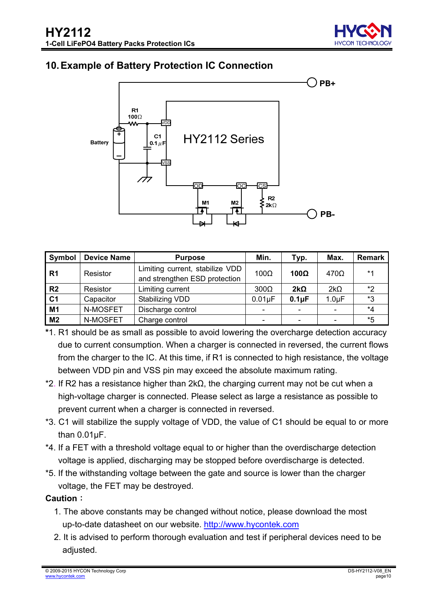

# <span id="page-9-0"></span>**10. Example of Battery Protection IC Connection**



| Symbol         | <b>Device Name</b> | <b>Purpose</b>                                                   | Min.                     | Typ.        | Max.        | Remark |
|----------------|--------------------|------------------------------------------------------------------|--------------------------|-------------|-------------|--------|
| R <sub>1</sub> | Resistor           | Limiting current, stabilize VDD<br>and strengthen ESD protection | $100\Omega$              | $100\Omega$ | $470\Omega$ | $*1$   |
| R <sub>2</sub> | Resistor           | Limiting current                                                 | $300\Omega$              | $2k\Omega$  | $2k\Omega$  | *2     |
| C <sub>1</sub> | Capacitor          | Stabilizing VDD                                                  | $0.01\mu F$              | $0.1\mu F$  | $1.0 \mu F$ | *3     |
| M1             | N-MOSFET           | Discharge control                                                |                          |             |             | *4     |
| M <sub>2</sub> | N-MOSFET           | Charge control                                                   | $\overline{\phantom{0}}$ |             |             | *5     |

- **\***1. R1 should be as small as possible to avoid lowering the overcharge detection accuracy due to current consumption. When a charger is connected in reversed, the current flows from the charger to the IC. At this time, if R1 is connected to high resistance, the voltage between VDD pin and VSS pin may exceed the absolute maximum rating.
- \*2. If R2 has a resistance higher than 2kΩ, the charging current may not be cut when a high-voltage charger is connected. Please select as large a resistance as possible to prevent current when a charger is connected in reversed.
- \*3. C1 will stabilize the supply voltage of VDD, the value of C1 should be equal to or more than 0.01μF.
- \*4. If a FET with a threshold voltage equal to or higher than the overdischarge detection voltage is applied, discharging may be stopped before overdischarge is detected.
- \*5. If the withstanding voltage between the gate and source is lower than the charger voltage, the FET may be destroyed.

#### **Caution**:

- 1. The above constants may be changed without notice, please download the most up-to-date datasheet on our website. [http://www.hycontek.com](http://www.hycontek.com/)
- 2. It is advised to perform thorough evaluation and test if peripheral devices need to be adjusted.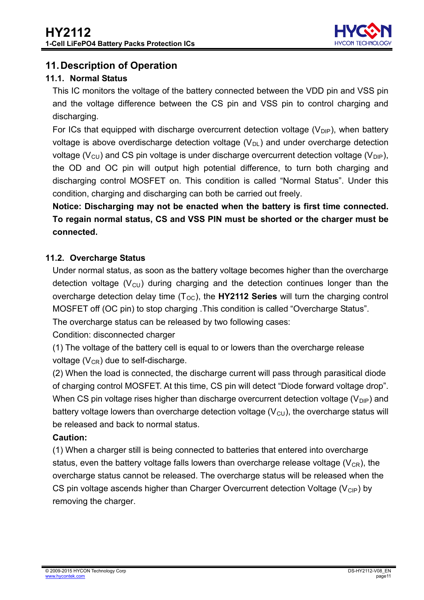

# <span id="page-10-0"></span>**11. Description of Operation**

#### <span id="page-10-1"></span>**11.1. Normal Status**

This IC monitors the voltage of the battery connected between the VDD pin and VSS pin and the voltage difference between the CS pin and VSS pin to control charging and discharging.

For ICs that equipped with discharge overcurrent detection voltage  $(V_{\text{DIP}})$ , when battery voltage is above overdischarge detection voltage  $(V_{DL})$  and under overcharge detection voltage ( $V_{\text{C1}}$ ) and CS pin voltage is under discharge overcurrent detection voltage ( $V_{\text{DIP}}$ ), the OD and OC pin will output high potential difference, to turn both charging and discharging control MOSFET on. This condition is called "Normal Status". Under this condition, charging and discharging can both be carried out freely.

**Notice: Discharging may not be enacted when the battery is first time connected. To regain normal status, CS and VSS PIN must be shorted or the charger must be connected.** 

#### <span id="page-10-2"></span>**11.2. Overcharge Status**

Under normal status, as soon as the battery voltage becomes higher than the overcharge detection voltage  $(V_{\text{CU}})$  during charging and the detection continues longer than the overcharge detection delay time (T<sub>oc</sub>), the **HY2112 Series** will turn the charging control MOSFET off (OC pin) to stop charging .This condition is called "Overcharge Status".

The overcharge status can be released by two following cases:

Condition: disconnected charger

(1) The voltage of the battery cell is equal to or lowers than the overcharge release voltage  $(V_{CR})$  due to self-discharge.

(2) When the load is connected, the discharge current will pass through parasitical diode of charging control MOSFET. At this time, CS pin will detect "Diode forward voltage drop". When CS pin voltage rises higher than discharge overcurrent detection voltage ( $V_{\text{DIP}}$ ) and battery voltage lowers than overcharge detection voltage  $(V<sub>CU</sub>)$ , the overcharge status will be released and back to normal status.

#### **Caution:**

(1) When a charger still is being connected to batteries that entered into overcharge status, even the battery voltage falls lowers than overcharge release voltage ( $V_{CR}$ ), the overcharge status cannot be released. The overcharge status will be released when the CS pin voltage ascends higher than Charger Overcurrent detection Voltage ( $V_{CP}$ ) by removing the charger.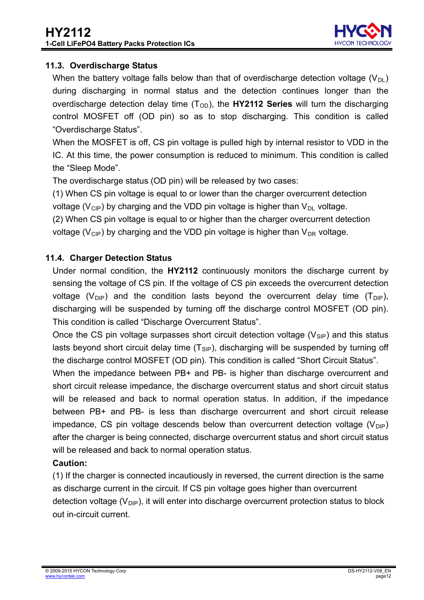

#### <span id="page-11-0"></span>**11.3. Overdischarge Status**

When the battery voltage falls below than that of overdischarge detection voltage ( $V_{\text{DL}}$ ) during discharging in normal status and the detection continues longer than the overdischarge detection delay time  $(T<sub>OD</sub>)$ , the **HY2112 Series** will turn the discharging control MOSFET off (OD pin) so as to stop discharging. This condition is called "Overdischarge Status".

When the MOSFET is off, CS pin voltage is pulled high by internal resistor to VDD in the IC. At this time, the power consumption is reduced to minimum. This condition is called the "Sleep Mode".

The overdischarge status (OD pin) will be released by two cases:

(1) When CS pin voltage is equal to or lower than the charger overcurrent detection voltage ( $V_{\text{CIP}}$ ) by charging and the VDD pin voltage is higher than  $V_{\text{DI}}$  voltage.

(2) When CS pin voltage is equal to or higher than the charger overcurrent detection voltage ( $V_{\text{CIP}}$ ) by charging and the VDD pin voltage is higher than  $V_{\text{DR}}$  voltage.

#### <span id="page-11-1"></span>**11.4. Charger Detection Status**

Under normal condition, the **HY2112** continuously monitors the discharge current by sensing the voltage of CS pin. If the voltage of CS pin exceeds the overcurrent detection voltage (V<sub>DIP</sub>) and the condition lasts beyond the overcurrent delay time (T<sub>DIP</sub>), discharging will be suspended by turning off the discharge control MOSFET (OD pin). This condition is called "Discharge Overcurrent Status".

Once the CS pin voltage surpasses short circuit detection voltage  $(V_{\text{SIP}})$  and this status lasts beyond short circuit delay time  $(T_{\text{SIP}})$ , discharging will be suspended by turning off the discharge control MOSFET (OD pin). This condition is called "Short Circuit Status".

When the impedance between PB+ and PB- is higher than discharge overcurrent and short circuit release impedance, the discharge overcurrent status and short circuit status will be released and back to normal operation status. In addition, if the impedance between PB+ and PB- is less than discharge overcurrent and short circuit release impedance, CS pin voltage descends below than overcurrent detection voltage ( $V_{\text{DIP}}$ ) after the charger is being connected, discharge overcurrent status and short circuit status will be released and back to normal operation status.

#### **Caution:**

(1) If the charger is connected incautiously in reversed, the current direction is the same as discharge current in the circuit. If CS pin voltage goes higher than overcurrent detection voltage  $(V_{\text{DIP}})$ , it will enter into discharge overcurrent protection status to block out in-circuit current.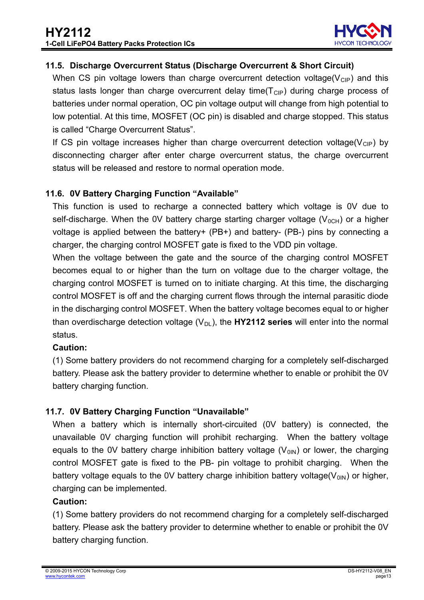

#### <span id="page-12-0"></span>**11.5. Discharge Overcurrent Status (Discharge Overcurrent & Short Circuit)**

When CS pin voltage lowers than charge overcurrent detection voltage( $V_{\text{CP}}$ ) and this status lasts longer than charge overcurrent delay time( $T<sub>ClP</sub>$ ) during charge process of batteries under normal operation, OC pin voltage output will change from high potential to low potential. At this time, MOSFET (OC pin) is disabled and charge stopped. This status is called "Charge Overcurrent Status".

If CS pin voltage increases higher than charge overcurrent detection voltage( $V_{\text{CIP}}$ ) by disconnecting charger after enter charge overcurrent status, the charge overcurrent status will be released and restore to normal operation mode.

#### <span id="page-12-1"></span>**11.6. 0V Battery Charging Function "Available"**

This function is used to recharge a connected battery which voltage is 0V due to self-discharge. When the 0V battery charge starting charger voltage  $(V_{0CH})$  or a higher voltage is applied between the battery+ (PB+) and battery- (PB-) pins by connecting a charger, the charging control MOSFET gate is fixed to the VDD pin voltage.

When the voltage between the gate and the source of the charging control MOSFET becomes equal to or higher than the turn on voltage due to the charger voltage, the charging control MOSFET is turned on to initiate charging. At this time, the discharging control MOSFET is off and the charging current flows through the internal parasitic diode .in the discharging control MOSFET. When the battery voltage becomes equal to or higher than overdischarge detection voltage  $(V_{DL})$ , the **HY2112 series** will enter into the normal status.

#### **Caution:**

(1) Some battery providers do not recommend charging for a completely self-discharged battery. Please ask the battery provider to determine whether to enable or prohibit the 0V battery charging function.

#### <span id="page-12-2"></span>**11.7. 0V Battery Charging Function "Unavailable"**

When a battery which is internally short-circuited (0V battery) is connected, the unavailable 0V charging function will prohibit recharging. When the battery voltage equals to the 0V battery charge inhibition battery voltage  $(V_{01N})$  or lower, the charging control MOSFET gate is fixed to the PB- pin voltage to prohibit charging. When the battery voltage equals to the OV battery charge inhibition battery voltage( $V_{0IN}$ ) or higher, charging can be implemented.

#### **Caution:**

(1) Some battery providers do not recommend charging for a completely self-discharged battery. Please ask the battery provider to determine whether to enable or prohibit the 0V battery charging function.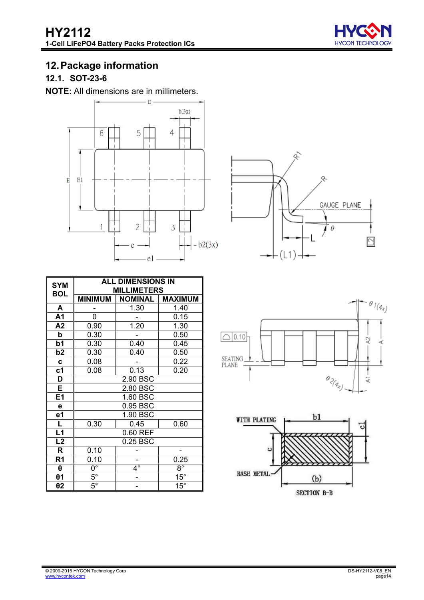

# <span id="page-13-0"></span>**12. Package information**

# <span id="page-13-1"></span>**12.1. SOT-23-6**

**NOTE:** All dimensions are in millimeters.



| <b>SYM</b>      |                        | <b>ALL DIMENSIONS IN</b><br><b>MILLIMETERS</b> |                |
|-----------------|------------------------|------------------------------------------------|----------------|
| <b>BOL</b>      | <b>MINIMUM</b>         | <b>NOMINAL</b>                                 | <b>MAXIMUM</b> |
| A               |                        | 1.30                                           | 1.40           |
| A <sub>1</sub>  | 0                      |                                                | 0.15           |
| A2              | 0.90                   | 1.20                                           | 1.30           |
| þ               | 0.30                   |                                                | 0.50           |
| b <sub>1</sub>  | 0.30                   | 0.40                                           | 0.45           |
| b2              | 0.30                   | 0.40                                           | 0.50           |
| C               | 0.08                   |                                                | 0.22           |
| c <sub>1</sub>  | 0.08                   | 0.13                                           | 0.20           |
| D               |                        | 2.90 BSC                                       |                |
| E               |                        | 2.80 BSC                                       |                |
| E1              |                        | 1.60 BSC                                       |                |
| е               |                        | 0.95 BSC                                       |                |
| e1              |                        | 1.90 BSC                                       |                |
| L               | 0.30                   | 0.45                                           | 0.60           |
| L1              |                        | 0.60 REF                                       |                |
| $\overline{L2}$ |                        | 0.25 BSC                                       |                |
| R               | 0.10                   |                                                |                |
| R <sub>1</sub>  | 0.10                   |                                                | 0.25           |
| $\theta$        | $\overline{0^{\circ}}$ | $4^{\circ}$                                    | $8^{\circ}$    |
| $\theta$ 1      | $5^{\circ}$            |                                                | $15^\circ$     |
| $\theta$ 2      | $5^{\circ}$            |                                                | $15^{\circ}$   |





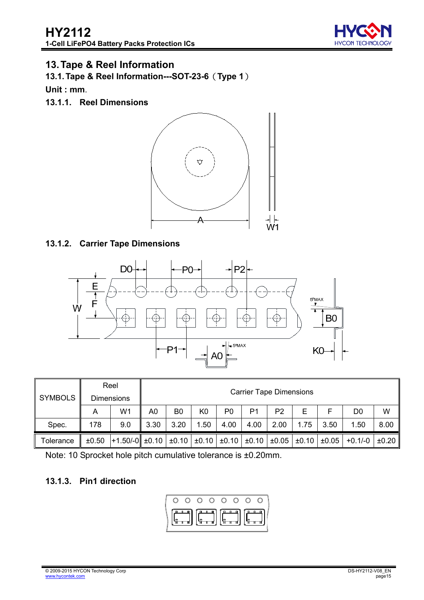

# <span id="page-14-0"></span>**13. Tape & Reel Information**

<span id="page-14-1"></span>**13.1. Tape & Reel Information---SOT-23-6**(**Type 1**)

**Unit : mm**.

**13.1.1. Reel Dimensions** 



#### **13.1.2. Carrier Tape Dimensions**



| <b>SYMBOLS</b>                                                                              | Reel<br><b>Dimensions</b> |     |      | <b>Carrier Tape Dimensions</b> |                |                |                |                       |           |            |      |      |  |
|---------------------------------------------------------------------------------------------|---------------------------|-----|------|--------------------------------|----------------|----------------|----------------|-----------------------|-----------|------------|------|------|--|
|                                                                                             | Α                         | W1  | A0   | B <sub>0</sub>                 | K <sub>0</sub> | P <sub>0</sub> | P <sub>1</sub> | P <sub>2</sub>        | Е         | F          | D0   | W    |  |
| Spec.                                                                                       | 178                       | 9.0 | 3.30 | 3.20                           | 1.50           | 4.00           | 4.00           | 2.00                  | 1.75      | 3.50       | 1.50 | 8.00 |  |
| $+1.50/-0$ ± 0.10 $\pm 0.10$ + $\pm 0.10$  <br>$±0.10$ $±0.10$  <br>$\pm 0.50$<br>Tolerance |                           |     |      |                                |                | ±0.05          |                | $\pm 0.10$ $\pm 0.05$ | $+0.1/-0$ | $\pm 0.20$ |      |      |  |

Note: 10 Sprocket hole pitch cumulative tolerance is ±0.20mm.

#### **13.1.3. Pin1 direction**

$$
\left(\begin{array}{ccccccccc}\n0 & 0 & 0 & 0 & 0 & 0 & 0 & 0 \\
\hline\n0 & 0 & 0 & 0 & 0 & 0 & 0 & 0 \\
\hline\n0 & 0 & 0 & 0 & 0 & 0 & 0 \\
\hline\n0 & 0 & 0 & 0 & 0 & 0 & 0 \\
\hline\n0 & 0 & 0 & 0 & 0 & 0 & 0 \\
\hline\n0 & 0 & 0 & 0 & 0 & 0 & 0 \\
\hline\n0 & 0 & 0 & 0 & 0 & 0 & 0 \\
\hline\n0 & 0 & 0 & 0 & 0 & 0 & 0 \\
\hline\n0 & 0 & 0 & 0 & 0 & 0 & 0 \\
\hline\n0 & 0 & 0 & 0 & 0 & 0 & 0 \\
\hline\n0 & 0 & 0 & 0 & 0 & 0 & 0 \\
\hline\n0 & 0 & 0 & 0 & 0 & 0 & 0 \\
\hline\n0 & 0 & 0 & 0 & 0 & 0 & 0 \\
\hline\n0 & 0 & 0 & 0 & 0 & 0 & 0 \\
\hline\n0 & 0 & 0 & 0 & 0 & 0 & 0 \\
\hline\n0 & 0 & 0 & 0 & 0 & 0 & 0 \\
\hline\n0 & 0 & 0 & 0 & 0 & 0 & 0 \\
\hline\n0 & 0 & 0 & 0 & 0 & 0 & 0 \\
\hline\n0 & 0 & 0 & 0 & 0 & 0 & 0 \\
\hline\n0 & 0 & 0 & 0 & 0 & 0 & 0 \\
\hline\n0 & 0 & 0 & 0 & 0 & 0 & 0 \\
\hline\n0 & 0 & 0 & 0 & 0 & 0 & 0 \\
\hline\n0 & 0 & 0 & 0 & 0 & 0 & 0 \\
\hline\n0 & 0 & 0 & 0 & 0 & 0 & 0 \\
\hline\n0 & 0 & 0 & 0 & 0 & 0 & 0 \\
\hline\n0 & 0 & 0 & 0 & 0 & 0 & 0 \\
\hline\n0 & 0 & 0 & 0 & 0 & 0 & 0 \\
\hline\n0 & 0 & 0 & 0 & 0 & 0 & 0 \\
\hline\n0 & 0 & 0 & 0 & 0 & 0 & 0 \\
\hline\n0 & 0 & 0 & 0 & 0 & 0 & 0 \\
\hline\n0 & 0 & 0 & 0 & 0 & 0 & 0 \\
\h
$$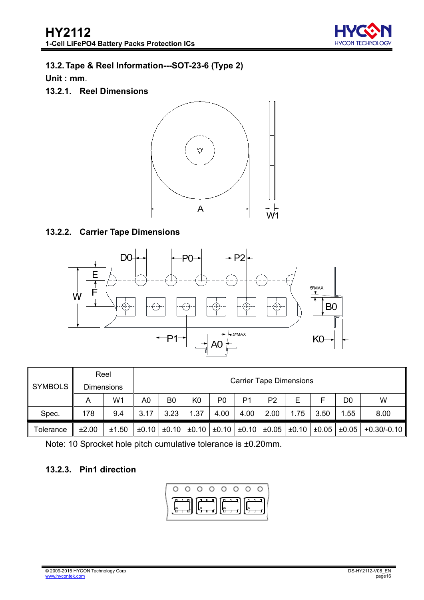

# <span id="page-15-0"></span>**13.2.Tape & Reel Information---SOT-23-6 (Type 2)**

**Unit : mm**.

**13.2.1. Reel Dimensions** 



#### **13.2.2. Carrier Tape Dimensions**



|                |       | Reel              | <b>Carrier Tape Dimensions</b> |                |                                                        |                |                |                |                       |      |                |               |
|----------------|-------|-------------------|--------------------------------|----------------|--------------------------------------------------------|----------------|----------------|----------------|-----------------------|------|----------------|---------------|
| <b>SYMBOLS</b> |       | <b>Dimensions</b> |                                |                |                                                        |                |                |                |                       |      |                |               |
|                | А     | W <sub>1</sub>    | A0                             | B <sub>0</sub> | K <sub>0</sub>                                         | P <sub>0</sub> | P <sub>1</sub> | P <sub>2</sub> | Е                     |      | D <sub>0</sub> | W             |
| Spec.          | 178   | 9.4               | 3.17                           | 3.23           | 1.37                                                   | 4.00           | 4.00           | 2.00           | 1.75                  | 3.50 | 1.55           | 8.00          |
| Tolerance      | ±2.00 | ±1.50             |                                |                | $\pm 0.10$ $\pm 0.10$ $\pm 0.10$ $\pm 0.10$ $\pm 0.10$ |                |                | $\pm 0.05$     | $\pm 0.10$ $\pm 0.05$ |      | $\pm 0.05$     | $+0.30/-0.10$ |

Note: 10 Sprocket hole pitch cumulative tolerance is ±0.20mm.

#### **13.2.3. Pin1 direction**